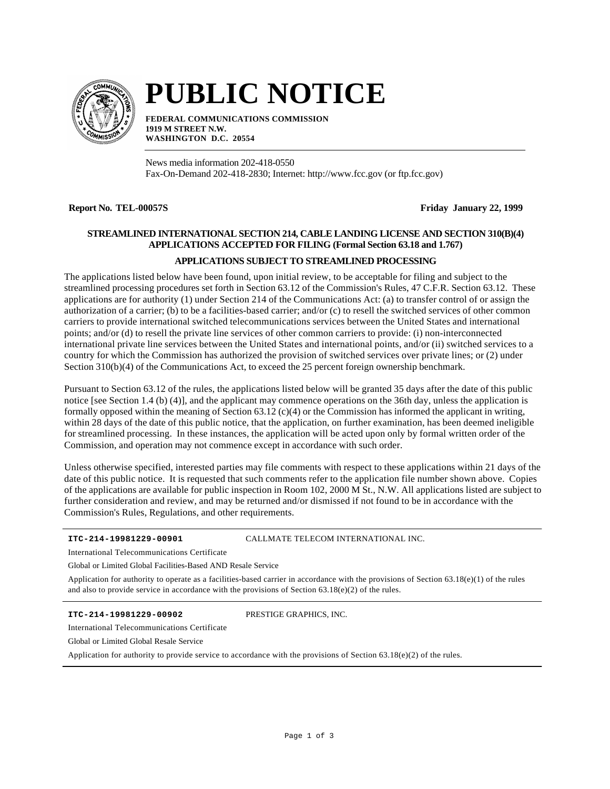

# **PUBLIC NOTICE**

**FEDERAL COMMUNICATIONS COMMISSION 1919 M STREET N.W. WASHINGTON D.C. 20554**

News media information 202-418-0550 Fax-On-Demand 202-418-2830; Internet: http://www.fcc.gov (or ftp.fcc.gov)

**Report No. TEL-00057S Friday January 22, 1999**

# **STREAMLINED INTERNATIONAL SECTION 214, CABLE LANDING LICENSE AND SECTION 310(B)(4) APPLICATIONS ACCEPTED FOR FILING (Formal Section 63.18 and 1.767)**

# **APPLICATIONS SUBJECT TO STREAMLINED PROCESSING**

The applications listed below have been found, upon initial review, to be acceptable for filing and subject to the streamlined processing procedures set forth in Section 63.12 of the Commission's Rules, 47 C.F.R. Section 63.12. These applications are for authority (1) under Section 214 of the Communications Act: (a) to transfer control of or assign the authorization of a carrier; (b) to be a facilities-based carrier; and/or (c) to resell the switched services of other common carriers to provide international switched telecommunications services between the United States and international points; and/or (d) to resell the private line services of other common carriers to provide: (i) non-interconnected international private line services between the United States and international points, and/or (ii) switched services to a country for which the Commission has authorized the provision of switched services over private lines; or (2) under Section 310(b)(4) of the Communications Act, to exceed the 25 percent foreign ownership benchmark.

Pursuant to Section 63.12 of the rules, the applications listed below will be granted 35 days after the date of this public notice [see Section 1.4 (b) (4)], and the applicant may commence operations on the 36th day, unless the application is formally opposed within the meaning of Section  $63.12$  (c)(4) or the Commission has informed the applicant in writing, within 28 days of the date of this public notice, that the application, on further examination, has been deemed ineligible for streamlined processing. In these instances, the application will be acted upon only by formal written order of the Commission, and operation may not commence except in accordance with such order.

Unless otherwise specified, interested parties may file comments with respect to these applications within 21 days of the date of this public notice. It is requested that such comments refer to the application file number shown above. Copies of the applications are available for public inspection in Room 102, 2000 M St., N.W. All applications listed are subject to further consideration and review, and may be returned and/or dismissed if not found to be in accordance with the Commission's Rules, Regulations, and other requirements.

#### **ITC-214-19981229-00901**

CALLMATE TELECOM INTERNATIONAL INC.

International Telecommunications Certificate

Global or Limited Global Facilities-Based AND Resale Service

Application for authority to operate as a facilities-based carrier in accordance with the provisions of Section  $63.18(e)(1)$  of the rules and also to provide service in accordance with the provisions of Section  $63.18(e)(2)$  of the rules.

**ITC-214-19981229-00902**

PRESTIGE GRAPHICS, INC.

International Telecommunications Certificate

Global or Limited Global Resale Service

Application for authority to provide service to accordance with the provisions of Section 63.18(e)(2) of the rules.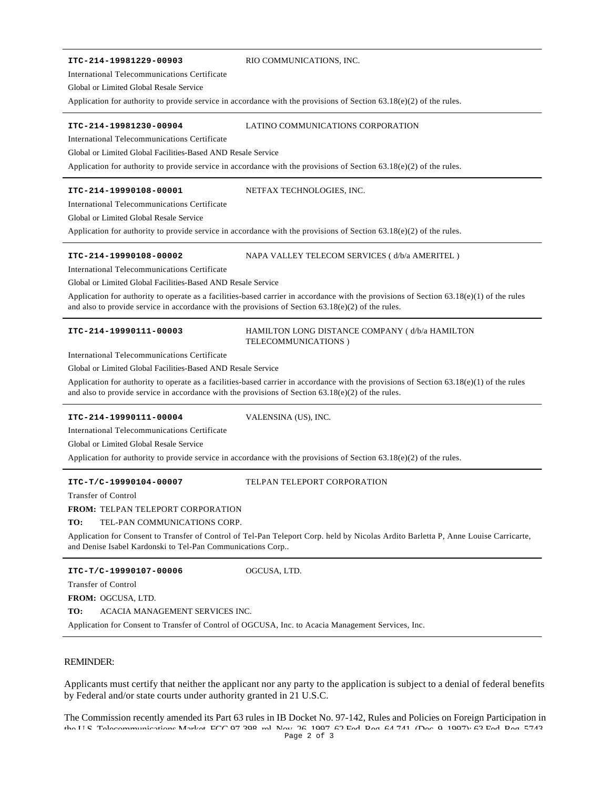#### **ITC-214-19981229-00903**

#### RIO COMMUNICATIONS, INC.

International Telecommunications Certificate

Global or Limited Global Resale Service

Application for authority to provide service in accordance with the provisions of Section 63.18(e)(2) of the rules.

#### **ITC-214-19981230-00904**

### LATINO COMMUNICATIONS CORPORATION

International Telecommunications Certificate

Global or Limited Global Facilities-Based AND Resale Service

Application for authority to provide service in accordance with the provisions of Section 63.18(e)(2) of the rules.

#### **ITC-214-19990108-00001**

#### NETFAX TECHNOLOGIES, INC.

International Telecommunications Certificate

Global or Limited Global Resale Service

Application for authority to provide service in accordance with the provisions of Section 63.18(e)(2) of the rules.

#### **ITC-214-19990108-00002**

NAPA VALLEY TELECOM SERVICES ( d/b/a AMERITEL )

International Telecommunications Certificate

Global or Limited Global Facilities-Based AND Resale Service

Application for authority to operate as a facilities-based carrier in accordance with the provisions of Section 63.18(e)(1) of the rules and also to provide service in accordance with the provisions of Section  $63.18(e)(2)$  of the rules.

#### **ITC-214-19990111-00003**

#### HAMILTON LONG DISTANCE COMPANY ( d/b/a HAMILTON TELECOMMUNICATIONS )

International Telecommunications Certificate

Global or Limited Global Facilities-Based AND Resale Service

Application for authority to operate as a facilities-based carrier in accordance with the provisions of Section 63.18(e)(1) of the rules and also to provide service in accordance with the provisions of Section  $63.18(e)(2)$  of the rules.

#### **ITC-214-19990111-00004**

VALENSINA (US), INC.

International Telecommunications Certificate

Global or Limited Global Resale Service

Application for authority to provide service in accordance with the provisions of Section 63.18(e)(2) of the rules.

#### **ITC-T/C-19990104-00007**

#### TELPAN TELEPORT CORPORATION

Transfer of Control

#### **FROM:** TELPAN TELEPORT CORPORATION

#### **TO:** TEL-PAN COMMUNICATIONS CORP.

Application for Consent to Transfer of Control of Tel-Pan Teleport Corp. held by Nicolas Ardito Barletta P, Anne Louise Carricarte, and Denise Isabel Kardonski to Tel-Pan Communications Corp..

#### **ITC-T/C-19990107-00006**

OGCUSA, LTD.

Transfer of Control

**FROM:** OGCUSA, LTD.

**TO:** ACACIA MANAGEMENT SERVICES INC.

Application for Consent to Transfer of Control of OGCUSA, Inc. to Acacia Management Services, Inc.

## REMINDER:

Applicants must certify that neither the applicant nor any party to the application is subject to a denial of federal benefits by Federal and/or state courts under authority granted in 21 U.S.C.

The Commission recently amended its Part 63 rules in IB Docket No. 97-142, Rules and Policies on Foreign Participation in the U.S. Telecommunications Market, FCC 07-208, rel. Nov. 26, 1007, 62 Fed. Reg. 64,741 (Dec. 9, 1907); 63 Fed. Reg. 5743 Page 2 of 3